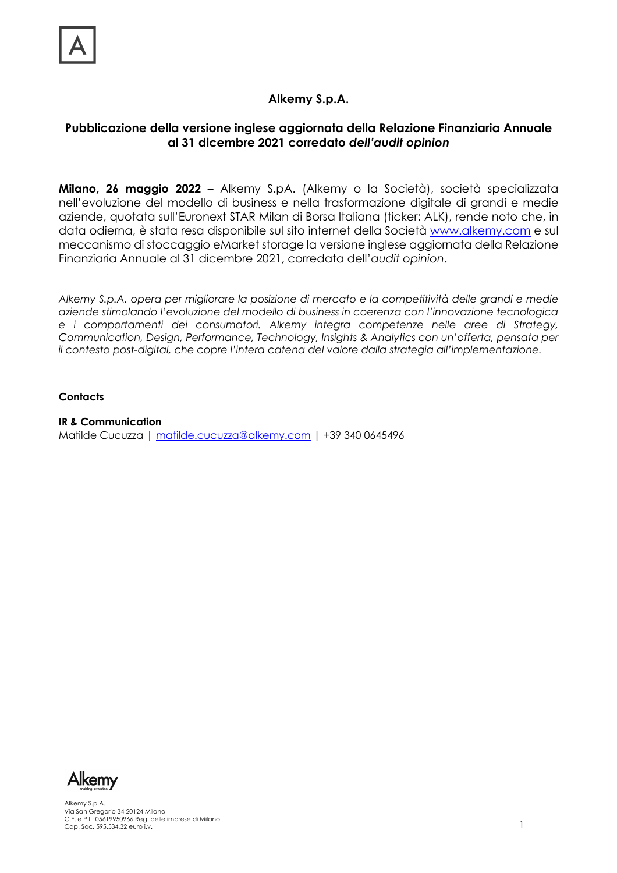## **Alkemy S.p.A.**

### **Pubblicazione della versione inglese aggiornata della Relazione Finanziaria Annuale al 31 dicembre 2021 corredato** *dell'audit opinion*

**Milano, 26 maggio 2022** – Alkemy S.pA. (Alkemy o la Società), società specializzata nell'evoluzione del modello di business e nella trasformazione digitale di grandi e medie aziende, quotata sull'Euronext STAR Milan di Borsa Italiana (ticker: ALK), rende noto che, in data odierna, è stata resa disponibile sul sito internet della Società www.alkemy.com e sul meccanismo di stoccaggio eMarket storage la versione inglese aggiornata della Relazione Finanziaria Annuale al 31 dicembre 2021, corredata dell'*audit opinion*.

*Alkemy S.p.A. opera per migliorare la posizione di mercato e la competitività delle grandi e medie aziende stimolando l'evoluzione del modello di business in coerenza con l'innovazione tecnologica e i comportamenti dei consumatori. Alkemy integra competenze nelle aree di Strategy, Communication, Design, Performance, Technology, Insights & Analytics con un'offerta, pensata per il contesto post-digital, che copre l'intera catena del valore dalla strategia all'implementazione.*

#### **Contacts**

**IR & Communication**  Matilde Cucuzza | matilde.cucuzza@alkemy.com | +39 340 0645496



Alkemy S.p.A. Via San Gregorio 34 20124 Milano C.F. e P.I.: 05619950966 Reg. delle imprese di Milano<br>Cap. Soc. 595.534,32 euro i.v. 1